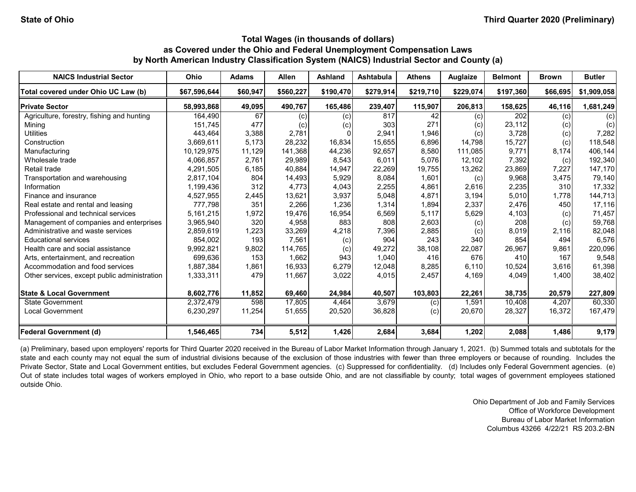| <b>NAICS Industrial Sector</b>               | Ohio         | <b>Adams</b> | <b>Allen</b> | <b>Ashland</b> | <b>Ashtabula</b> | <b>Athens</b> | <b>Auglaize</b> | <b>Belmont</b>   | <b>Brown</b> | <b>Butler</b> |
|----------------------------------------------|--------------|--------------|--------------|----------------|------------------|---------------|-----------------|------------------|--------------|---------------|
| Total covered under Ohio UC Law (b)          | \$67,596,644 | \$60,947     | \$560,227    | \$190,470      | \$279,914        | \$219,710     | \$229,074       | \$197,360        | \$66,695     | \$1,909,058   |
| <b>Private Sector</b>                        | 58,993,868   | 49,095       | 490,767      | 165,486        | 239,407          | 115,907       | 206,813         | 158,625          | 46,116       | 1,681,249     |
| Agriculture, forestry, fishing and hunting   | 164,490      | 67           | (c)          | (c)            | 817              | 42            | (c)             | $\overline{202}$ | (c)          | (c)           |
| Mining                                       | 151,745      | 477          | (c)          | (c)            | 303              | 271           | (c)             | 23,112           | (c)          | (c)           |
| <b>Utilities</b>                             | 443.464      | 3,388        | 2,781        |                | 2,941            | 1,946         | (c)             | 3,728            | (c)          | 7,282         |
| Construction                                 | 3,669,611    | 5,173        | 28,232       | 16,834         | 15,655           | 6,896         | 14,798          | 15,727           | (c)          | 118,548       |
| Manufacturing                                | 10,129,975   | 11,129       | 141,368      | 44,236         | 92,657           | 8,580         | 111,085         | 9,771            | 8,174        | 406,144       |
| Wholesale trade                              | 4,066,857    | 2,761        | 29,989       | 8,543          | 6,011            | 5,076         | 12,102          | 7,392            | (c)          | 192,340       |
| Retail trade                                 | 4,291,505    | 6,185        | 40,884       | 14,947         | 22,269           | 19,755        | 13,262          | 23,869           | 7,227        | 147,170       |
| Transportation and warehousing               | 2,817,104    | 804          | 14,493       | 5,929          | 8,084            | 1.601         | (c)             | 9,968            | 3.475        | 79,140        |
| Information                                  | 1,199,436    | 312          | 4,773        | 4,043          | 2,255            | 4,861         | 2,616           | 2,235            | 310          | 17,332        |
| Finance and insurance                        | 4,527,955    | 2,445        | 13,621       | 3,937          | 5,048            | 4,871         | 3,194           | 5,010            | 1,778        | 144,713       |
| Real estate and rental and leasing           | 777,798      | 351          | 2,266        | 1,236          | 1,314            | 1,894         | 2,337           | 2,476            | 450          | 17,116        |
| Professional and technical services          | 5,161,215    | 1,972        | 19,476       | 16,954         | 6,569            | 5,117         | 5,629           | 4,103            | (c)          | 71,457        |
| Management of companies and enterprises      | 3,965,940    | 320          | 4,958        | 883            | 808              | 2,603         | (c)             | 208              | (c)          | 59,768        |
| Administrative and waste services            | 2,859,619    | 1,223        | 33,269       | 4,218          | 7,396            | 2,885         | (c)             | 8,019            | 2,116        | 82,048        |
| <b>Educational services</b>                  | 854,002      | 193          | 7,561        | (c)            | 904              | 243           | 340             | 854              | 494          | 6,576         |
| Health care and social assistance            | 9,992,821    | 9,802        | 114,765      | (c)            | 49,272           | 38,108        | 22,087          | 26,967           | 9,861        | 220,096       |
| Arts, entertainment, and recreation          | 699.636      | 153          | 1,662        | 943            | 1.040            | 416           | 676             | 410              | 167          | 9,548         |
| Accommodation and food services              | 1,887,384    | 1,861        | 16,933       | 6,279          | 12,048           | 8,285         | 6,110           | 10,524           | 3,616        | 61,398        |
| Other services, except public administration | 1,333,311    | 479          | 11,667       | 3,022          | 4,015            | 2,457         | 4,169           | 4,049            | 1,400        | 38,402        |
| <b>State &amp; Local Government</b>          | 8,602,776    | 11,852       | 69,460       | 24,984         | 40,507           | 103,803       | 22,261          | 38,735           | 20,579       | 227,809       |
| <b>State Government</b>                      | 2,372,479    | 598          | 17,805       | 4,464          | 3,679            | (c)           | 1,591           | 10,408           | 4.207        | 60,330        |
| <b>Local Government</b>                      | 6,230,297    | 11,254       | 51,655       | 20,520         | 36,828           | (c)           | 20,670          | 28,327           | 16,372       | 167,479       |
| <b>Federal Government (d)</b>                | 1,546,465    | 734          | 5,512        | 1,426          | 2,684            | 3,684         | 1,202           | 2,088            | 1,486        | 9,179         |

(a) Preliminary, based upon employers' reports for Third Quarter 2020 received in the Bureau of Labor Market Information through January 1, 2021. (b) Summed totals and subtotals for the state and each county may not equal the sum of industrial divisions because of the exclusion of those industries with fewer than three employers or because of rounding. Includes the Private Sector, State and Local Government entities, but excludes Federal Government agencies. (c) Suppressed for confidentiality. (d) Includes only Federal Government agencies. (e) Out of state includes total wages of workers employed in Ohio, who report to a base outside Ohio, and are not classifiable by county; total wages of government employees stationed outside Ohio.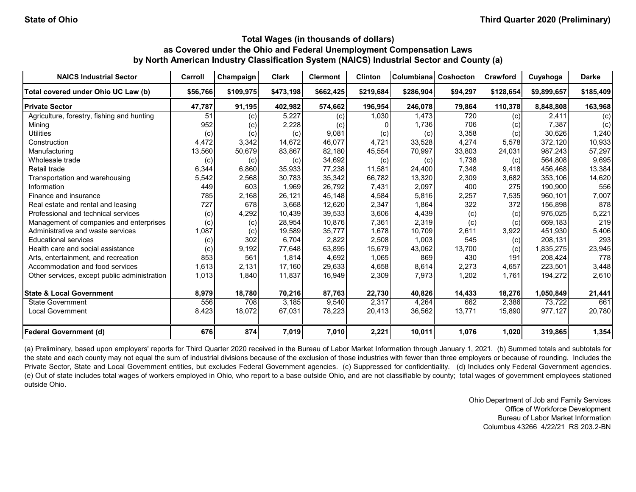| <b>NAICS Industrial Sector</b>               | Carroll  | Champaign | <b>Clark</b> | <b>Clermont</b> | <b>Clinton</b> | <b>Columbiana</b> | Coshocton | Crawford  | Cuyahoga    | <b>Darke</b> |
|----------------------------------------------|----------|-----------|--------------|-----------------|----------------|-------------------|-----------|-----------|-------------|--------------|
| Total covered under Ohio UC Law (b)          | \$56,766 | \$109,975 | \$473,198    | \$662,425       | \$219,684      | \$286,904         | \$94,297  | \$128,654 | \$9,899,657 | \$185,409    |
| <b>Private Sector</b>                        | 47,787   | 91,195    | 402,982      | 574,662         | 196,954        | 246,078           | 79,864    | 110,378   | 8,848,808   | 163,968      |
| Agriculture, forestry, fishing and hunting   | 51       | (c)       | 5,227        | (c)             | 1,030          | 1,473             | 720       | (c)       | 2,411       | (c)          |
| Mining                                       | 952      | (c)       | 2,228        | (c)             |                | 1,736             | 706       | (c)       | 7,387       | (c)          |
| <b>Utilities</b>                             | (c)      | (c)       | (c)          | 9,081           | (c)            | (c)               | 3,358     | (c)       | 30,626      | 1,240        |
| Construction                                 | 4,472    | 3,342     | 14,672       | 46,077          | 4,721          | 33,528            | 4,274     | 5,578     | 372,120     | 10,933       |
| Manufacturing                                | 13,560   | 50,679    | 83,867       | 82.180          | 45,554         | 70,997            | 33,803    | 24,031    | 987.243     | 57,297       |
| Wholesale trade                              | (c)      | (c)       | (c)          | 34,692          | (c)            | (c)               | 1,738     | (c)       | 564,808     | 9,695        |
| Retail trade                                 | 6,344    | 6,860     | 35,933       | 77.238          | 11,581         | 24,400            | 7,348     | 9,418     | 456.468     | 13,384       |
| Transportation and warehousing               | 5,542    | 2,568     | 30.783       | 35,342          | 66,782         | 13,320            | 2,309     | 3,682     | 353,106     | 14,620       |
| Information                                  | 449      | 603       | 1,969        | 26,792          | 7,431          | 2,097             | 400       | 275       | 190,900     | 556          |
| Finance and insurance                        | 785      | 2.168     | 26,121       | 45.148          | 4,584          | 5,816             | 2,257     | 7,535     | 960.101     | 7,007        |
| Real estate and rental and leasing           | 727      | 678       | 3,668        | 12,620          | 2,347          | 1,864             | 322       | 372       | 156,898     | 878          |
| Professional and technical services          | (c)      | 4,292     | 10,439       | 39,533          | 3,606          | 4,439             | (c)       | (c)       | 976.025     | 5,221        |
| Management of companies and enterprises      | (c)      | (c)       | 28,954       | 10.876          | 7,361          | 2,319             | (c)       | (c)       | 669.183     | 219          |
| Administrative and waste services            | 1,087    | (c)       | 19,589       | 35,777          | 1,678          | 10,709            | 2,611     | 3,922     | 451.930     | 5,406        |
| <b>Educational services</b>                  | (c)      | 302       | 6,704        | 2,822           | 2,508          | 1,003             | 545       | (c)       | 208,131     | 293          |
| Health care and social assistance            | (c)      | 9,192     | 77,648       | 63,895          | 15,679         | 43,062            | 13,700    | (c)       | 835,275     | 23,945       |
| Arts, entertainment, and recreation          | 853      | 561       | 1.814        | 4,692           | 1,065          | 869               | 430       | 191       | 208,424     | 778          |
| Accommodation and food services              | 1,613    | 2,131     | 17,160       | 29,633          | 4,658          | 8,614             | 2,273     | 4,657     | 223,501     | 3,448        |
| Other services, except public administration | 1,013    | 1,840     | 11,837       | 16,949          | 2,309          | 7,973             | 1,202     | 1,761     | 194,272     | 2,610        |
| <b>State &amp; Local Government</b>          | 8,979    | 18,780    | 70,216       | 87,763          | 22,730         | 40,826            | 14,433    | 18,276    | 1,050,849   | 21,441       |
| <b>State Government</b>                      | 556      | 708       | 3,185        | 9,540           | 2,317          | 4,264             | 662       | 2,386     | 73,722      | 661          |
| <b>Local Government</b>                      | 8,423    | 18,072    | 67,031       | 78,223          | 20,413         | 36,562            | 13,771    | 15,890    | 977,127     | 20,780       |
| <b>Federal Government (d)</b>                | 676      | 874       | 7,019        | 7,010           | 2,221          | 10,011            | 1,076     | 1,020     | 319,865     | 1,354        |

(a) Preliminary, based upon employers' reports for Third Quarter 2020 received in the Bureau of Labor Market Information through January 1, 2021. (b) Summed totals and subtotals for the state and each county may not equal the sum of industrial divisions because of the exclusion of those industries with fewer than three employers or because of rounding. Includes the Private Sector, State and Local Government entities, but excludes Federal Government agencies. (c) Suppressed for confidentiality. (d) Includes only Federal Government agencies. (e) Out of state includes total wages of workers employed in Ohio, who report to a base outside Ohio, and are not classifiable by county; total wages of government employees stationed outside Ohio.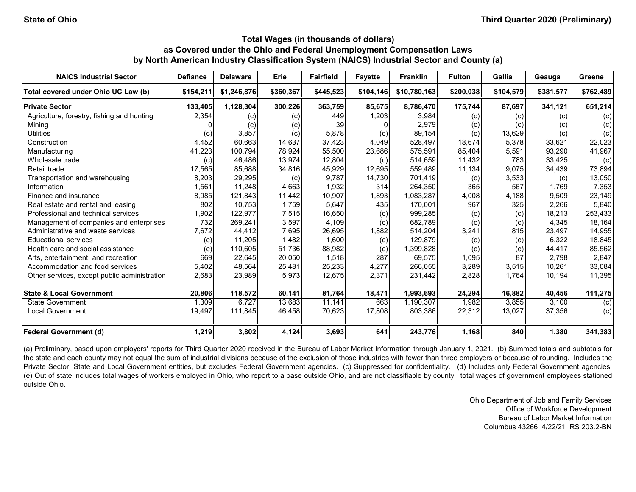| <b>NAICS Industrial Sector</b>               | <b>Defiance</b> | <b>Delaware</b> | Erie      | <b>Fairfield</b> | <b>Favette</b> | <b>Franklin</b> | <b>Fulton</b> | Gallia    | Geauga    | Greene    |
|----------------------------------------------|-----------------|-----------------|-----------|------------------|----------------|-----------------|---------------|-----------|-----------|-----------|
| Total covered under Ohio UC Law (b)          | \$154,211       | \$1,246,876     | \$360,367 | \$445,523        | \$104,146      | \$10,780,163    | \$200,038     | \$104,579 | \$381,577 | \$762,489 |
| <b>Private Sector</b>                        | 133,405         | 1,128,304       | 300,226   | 363,759          | 85,675         | 8,786,470       | 175,744       | 87,697    | 341,121   | 651,214   |
| Agriculture, forestry, fishing and hunting   | 2,354           | (c)             | (c)       | 449              | 1,203          | 3,984           | (c)           | (c)       | (c)       | (c)       |
| Mining                                       |                 | (c)             | (c)       | 39               |                | 2,979           | (c)           | (c)       | (c)       | (c)       |
| <b>Utilities</b>                             | (c)             | 3,857           | (c)       | 5,878            | (c)            | 89,154          | (c)           | 13,629    | (c)       | (c)       |
| Construction                                 | 4,452           | 60,663          | 14,637    | 37,423           | 4,049          | 528,497         | 18,674        | 5,378     | 33,621    | 22,023    |
| Manufacturing                                | 41,223          | 100,794         | 78,924    | 55,500           | 23,686         | 575,591         | 85,404        | 5,591     | 93,290    | 41,967    |
| Wholesale trade                              | (c)             | 46,486          | 13,974    | 12,804           | (c)            | 514,659         | 11,432        | 783       | 33,425    | (c)       |
| Retail trade                                 | 17,565          | 85,688          | 34,816    | 45,929           | 12,695         | 559,489         | 11,134        | 9,075     | 34,439    | 73,894    |
| Transportation and warehousing               | 8,203           | 29,295          | (c)       | 9.787            | 14,730         | 701,419         | (c)           | 3,533     | (c)       | 13,050    |
| Information                                  | 1,561           | 11,248          | 4,663     | 1,932            | 314            | 264,350         | 365           | 567       | 1.769     | 7,353     |
| Finance and insurance                        | 8,985           | 121,843         | 11,442    | 10,907           | 1,893          | 1,083,287       | 4,008         | 4.188     | 9.509     | 23,149    |
| Real estate and rental and leasing           | 802             | 10.753          | 1,759     | 5,647            | 435            | 170,001         | 967           | 325       | 2,266     | 5,840     |
| Professional and technical services          | 1,902           | 122.977         | 7,515     | 16,650           | (c)            | 999,285         | (c)           | (c)       | 18,213    | 253,433   |
| Management of companies and enterprises      | 732             | 269,241         | 3,597     | 4,109            | (c)            | 682,789         | (c)           | (c)       | 4,345     | 18,164    |
| Administrative and waste services            | 7,672           | 44,412          | 7,695     | 26,695           | 1,882          | 514,204         | 3,241         | 815       | 23,497    | 14,955    |
| <b>Educational services</b>                  | (c)             | 11,205          | 1,482     | 1,600            | (c)            | 129,879         | (c)           | (c)       | 6,322     | 18,845    |
| Health care and social assistance            | (c)             | 110,605         | 51,736    | 88,982           | (c)            | 1,399,828       | (c)           | (c)       | 44,417    | 85,562    |
| Arts, entertainment, and recreation          | 669             | 22,645          | 20,050    | 1,518            | 287            | 69,575          | 1,095         | 87        | 2,798     | 2,847     |
| Accommodation and food services              | 5,402           | 48,564          | 25,481    | 25,233           | 4,277          | 266,055         | 3,289         | 3,515     | 10.261    | 33,084    |
| Other services, except public administration | 2,683           | 23,989          | 5,973     | 12,675           | 2,371          | 231,442         | 2,828         | 1.764     | 10.194    | 11,395    |
| <b>State &amp; Local Government</b>          | 20,806          | 118,572         | 60,141    | 81,764           | 18,471         | 1,993,693       | 24,294        | 16,882    | 40,456    | 111,275   |
| <b>State Government</b>                      | 1,309           | 6.727           | 13,683    | 11,141           | 663            | 1,190,307       | 1,982         | 3,855     | 3.100     | (c)       |
| <b>Local Government</b>                      | 19,497          | 111,845         | 46,458    | 70,623           | 17,808         | 803,386         | 22,312        | 13,027    | 37,356    | (c)       |
| Federal Government (d)                       | 1,219           | 3,802           | 4,124     | 3,693            | 641            | 243,776         | 1,168         | 840       | 1,380     | 341,383   |

(a) Preliminary, based upon employers' reports for Third Quarter 2020 received in the Bureau of Labor Market Information through January 1, 2021. (b) Summed totals and subtotals for the state and each county may not equal the sum of industrial divisions because of the exclusion of those industries with fewer than three employers or because of rounding. Includes the Private Sector, State and Local Government entities, but excludes Federal Government agencies. (c) Suppressed for confidentiality. (d) Includes only Federal Government agencies. (e) Out of state includes total wages of workers employed in Ohio, who report to a base outside Ohio, and are not classifiable by county; total wages of government employees stationed outside Ohio.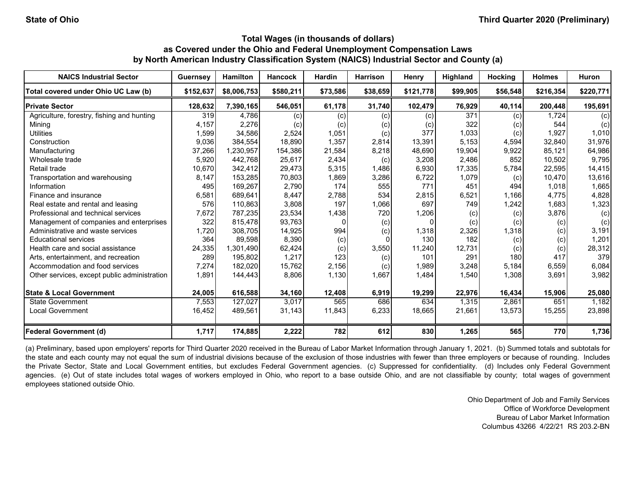| <b>NAICS Industrial Sector</b>               | <b>Guernsey</b> | <b>Hamilton</b> | <b>Hancock</b> | <b>Hardin</b> | <b>Harrison</b> | Henry     | <b>Highland</b> | <b>Hocking</b> | <b>Holmes</b> | Huron     |
|----------------------------------------------|-----------------|-----------------|----------------|---------------|-----------------|-----------|-----------------|----------------|---------------|-----------|
| Total covered under Ohio UC Law (b)          | \$152,637       | \$8,006,753     | \$580,211      | \$73,586      | \$38,659        | \$121,778 | \$99,905        | \$56,548       | \$216,354     | \$220,771 |
| <b>Private Sector</b>                        | 128,632         | 7,390,165       | 546,051        | 61,178        | 31,740          | 102,479   | 76,929          | 40,114         | 200,448       | 195,691   |
| Agriculture, forestry, fishing and hunting   | 319             | 4.786           | (c)            | (c)           | (c)             | (c)       | 371             | (c)            | 1.724         | (c)       |
| Mining                                       | 4,157           | 2,276           | (c)            | (c)           | (c)             | (c)       | 322             | (c)            | 544           | (c)       |
| <b>Utilities</b>                             | 1,599           | 34.586          | 2,524          | 1,051         | (c)             | 377       | 1,033           | (c)            | 1,927         | 1,010     |
| Construction                                 | 9,036           | 384,554         | 18,890         | 1,357         | 2,814           | 13,391    | 5,153           | 4,594          | 32,840        | 31,976    |
| Manufacturing                                | 37,266          | 1,230,957       | 154,386        | 21,584        | 8,218           | 48,690    | 19,904          | 9,922          | 85,121        | 64,986    |
| Wholesale trade                              | 5,920           | 442,768         | 25,617         | 2,434         | (c)             | 3,208     | 2,486           | 852            | 10,502        | 9,795     |
| Retail trade                                 | 10,670          | 342,412         | 29,473         | 5,315         | 1,486           | 6,930     | 17,335          | 5,784          | 22,595        | 14,415    |
| Transportation and warehousing               | 8,147           | 153,285         | 70,803         | 1,869         | 3,286           | 6,722     | 1,079           | (c)            | 10,470        | 13,616    |
| Information                                  | 495             | 169,267         | 2,790          | 174           | 555             | 771       | 451             | 494            | 1.018         | 1,665     |
| Finance and insurance                        | 6,581           | 689.641         | 8,447          | 2,788         | 534             | 2,815     | 6,521           | 1,166          | 4,775         | 4,828     |
| Real estate and rental and leasing           | 576             | 110,863         | 3,808          | 197           | 1,066           | 697       | 749             | 1,242          | 1,683         | 1,323     |
| Professional and technical services          | 7,672           | 787,235         | 23,534         | 1,438         | 720             | 1,206     | (c)             | (c)            | 3,876         | (c)       |
| Management of companies and enterprises      | 322             | 815,478         | 93,763         |               | (c)             |           | (c)             | (c)            | (c)           | (c)       |
| Administrative and waste services            | 1,720           | 308,705         | 14,925         | 994           | (c)             | 1,318     | 2,326           | 1,318          | (c)           | 3,191     |
| <b>Educational services</b>                  | 364             | 89,598          | 8,390          | (c)           |                 | 130       | 182             | (c)            | (c)           | 1,201     |
| Health care and social assistance            | 24,335          | 1,301,490       | 62,424         | (c)           | 3,550           | 11,240    | 12,731          | (c)            | (c)           | 28,312    |
| Arts, entertainment, and recreation          | 289             | 195.802         | 1,217          | 123           | (c)             | 101       | 291             | 180            | 417           | 379       |
| Accommodation and food services              | 7,274           | 182,020         | 15,762         | 2,156         | (c)             | 1,989     | 3,248           | 5,184          | 6,559         | 6,084     |
| Other services, except public administration | 1,891           | 144,443         | 8,806          | 1,130         | 1,667           | 1,484     | 1,540           | 1,308          | 3,691         | 3,982     |
| <b>State &amp; Local Government</b>          | 24,005          | 616,588         | 34,160         | 12,408        | 6,919           | 19,299    | 22,976          | 16,434         | 15,906        | 25,080    |
| <b>State Government</b>                      | 7,553           | 127,027         | 3,017          | 565           | 686             | 634       | 1,315           | 2,861          | 651           | 1,182     |
| <b>Local Government</b>                      | 16,452          | 489,561         | 31,143         | 11,843        | 6,233           | 18,665    | 21,661          | 13,573         | 15,255        | 23,898    |
| <b>Federal Government (d)</b>                | 1,717           | 174,885         | 2,222          | 782           | 612             | 830       | 1,265           | 565            | 770           | 1,736     |

(a) Preliminary, based upon employers' reports for Third Quarter 2020 received in the Bureau of Labor Market Information through January 1, 2021. (b) Summed totals and subtotals for the state and each county may not equal the sum of industrial divisions because of the exclusion of those industries with fewer than three employers or because of rounding. Includes the Private Sector, State and Local Government entities, but excludes Federal Government agencies. (c) Suppressed for confidentiality. (d) Includes only Federal Government agencies. (e) Out of state includes total wages of workers employed in Ohio, who report to a base outside Ohio, and are not classifiable by county; total wages of government employees stationed outside Ohio.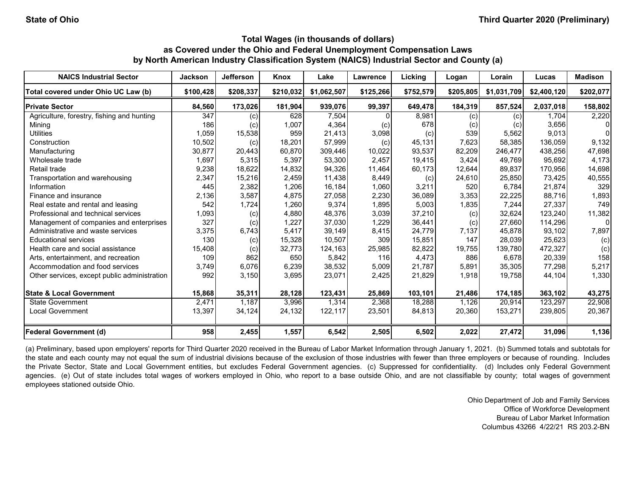| <b>NAICS Industrial Sector</b>               | Jackson   | <b>Jefferson</b> | Knox      | Lake        | <b>Lawrence</b> | Licking   | Logan     | Lorain      | Lucas       | <b>Madison</b> |
|----------------------------------------------|-----------|------------------|-----------|-------------|-----------------|-----------|-----------|-------------|-------------|----------------|
| Total covered under Ohio UC Law (b)          | \$100,428 | \$208,337        | \$210,032 | \$1,062,507 | \$125,266       | \$752,579 | \$205,805 | \$1,031,709 | \$2,400,120 | \$202,077      |
| <b>Private Sector</b>                        | 84,560    | 173,026          | 181,904   | 939,076     | 99,397          | 649,478   | 184,319   | 857,524     | 2,037,018   | 158,802        |
| Agriculture, forestry, fishing and hunting   | 347       | (c)              | 628       | 7,504       |                 | 8,981     | (c)       | (c)         | 1.704       | 2,220          |
| Mining                                       | 186       | (c)              | 1,007     | 4,364       | (c)             | 678       | (c)       | (c)         | 3,656       | 0              |
| <b>Utilities</b>                             | 1,059     | 15,538           | 959       | 21,413      | 3,098           | (c)       | 539       | 5,562       | 9,013       | $\overline{0}$ |
| Construction                                 | 10,502    | (c)              | 18,201    | 57,999      | (c)             | 45,131    | 7,623     | 58.385      | 136.059     | 9,132          |
| Manufacturing                                | 30,877    | 20,443           | 60,870    | 309.446     | 10,022          | 93,537    | 82,209    | 246.477     | 438,256     | 47,698         |
| Wholesale trade                              | 1,697     | 5,315            | 5,397     | 53,300      | 2,457           | 19,415    | 3,424     | 49,769      | 95,692      | 4,173          |
| Retail trade                                 | 9,238     | 18,622           | 14,832    | 94,326      | 11,464          | 60,173    | 12,644    | 89,837      | 170,956     | 14,698         |
| Transportation and warehousing               | 2,347     | 15,216           | 2,459     | 11,438      | 8,449           | (c)       | 24,610    | 25,850      | 73,425      | 40,555         |
| Information                                  | 445       | 2,382            | 1,206     | 16,184      | 1,060           | 3,211     | 520       | 6.784       | 21,874      | 329            |
| Finance and insurance                        | 2,136     | 3,587            | 4,875     | 27,058      | 2,230           | 36,089    | 3,353     | 22,225      | 88,716      | 1,893          |
| Real estate and rental and leasing           | 542       | 1,724            | 1,260     | 9,374       | 1,895           | 5,003     | 1,835     | 7,244       | 27,337      | 749            |
| Professional and technical services          | 1,093     | (c)              | 4,880     | 48,376      | 3,039           | 37,210    | (c)       | 32,624      | 123,240     | 11,382         |
| Management of companies and enterprises      | 327       | (c)              | 1,227     | 37,030      | 1,229           | 36,441    | (c)       | 27,660      | 114,296     | 0              |
| Administrative and waste services            | 3,375     | 6,743            | 5,417     | 39,149      | 8,415           | 24,779    | 7,137     | 45,878      | 93,102      | 7,897          |
| <b>Educational services</b>                  | 130       | (c)              | 15,328    | 10,507      | 309             | 15,851    | 147       | 28,039      | 25,623      | (c)            |
| Health care and social assistance            | 15,408    | (c)              | 32,773    | 124,163     | 25,985          | 82,822    | 19,755    | 139.780     | 472,327     | (c)            |
| Arts, entertainment, and recreation          | 109       | 862              | 650       | 5,842       | 116             | 4,473     | 886       | 6.678       | 20,339      | 158            |
| Accommodation and food services              | 3,749     | 6,076            | 6,239     | 38,532      | 5,009           | 21,787    | 5,891     | 35,305      | 77,298      | 5,217          |
| Other services, except public administration | 992       | 3,150            | 3,695     | 23,071      | 2,425           | 21,829    | 1,918     | 19,758      | 44,104      | 1,330          |
| <b>State &amp; Local Government</b>          | 15,868    | 35,311           | 28,128    | 123,431     | 25,869          | 103,101   | 21,486    | 174,185     | 363,102     | 43,275         |
| State Government                             | 2,471     | 1,187            | 3,996     | 1,314       | 2,368           | 18,288    | 1,126     | 20,914      | 123,297     | 22,908         |
| <b>Local Government</b>                      | 13,397    | 34,124           | 24,132    | 122,117     | 23,501          | 84,813    | 20,360    | 153,271     | 239,805     | 20,367         |
| <b>Federal Government (d)</b>                | 958       | 2,455            | 1,557     | 6,542       | 2,505           | 6,502     | 2,022     | 27,472      | 31,096      | 1,136          |

(a) Preliminary, based upon employers' reports for Third Quarter 2020 received in the Bureau of Labor Market Information through January 1, 2021. (b) Summed totals and subtotals for the state and each county may not equal the sum of industrial divisions because of the exclusion of those industries with fewer than three employers or because of rounding. Includes the Private Sector, State and Local Government entities, but excludes Federal Government agencies. (c) Suppressed for confidentiality. (d) Includes only Federal Government agencies. (e) Out of state includes total wages of workers employed in Ohio, who report to a base outside Ohio, and are not classifiable by county; total wages of government employees stationed outside Ohio.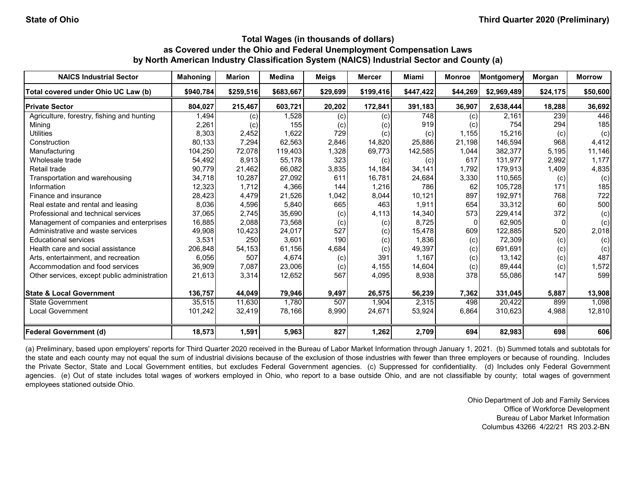| <b>NAICS Industrial Sector</b>               | <b>Mahoning</b> | <b>Marion</b> | Medina    | <b>Meigs</b> | <b>Mercer</b> | Miami     | <b>Monroe</b> | Montgomery  | Morgan   | <b>Morrow</b> |
|----------------------------------------------|-----------------|---------------|-----------|--------------|---------------|-----------|---------------|-------------|----------|---------------|
| Total covered under Ohio UC Law (b)          | \$940.784       | \$259,516     | \$683,667 | \$29,699     | \$199,416     | \$447,422 | \$44,269      | \$2,969,489 | \$24,175 | \$50,600      |
| <b>Private Sector</b>                        | 804,027         | 215,467       | 603,721   | 20,202       | 172,841       | 391,183   | 36,907        | 2,638,444   | 18,288   | 36,692        |
| Agriculture, forestry, fishing and hunting   | 1,494           | (c)           | 1,528     | (c)          | (c)           | 748       | (c)           | 2.161       | 239      | 446           |
| Mining                                       | 2,261           | (c)           | 155       | (c)          | (c)           | 919       | (c)           | 754         | 294      | 185           |
| <b>Utilities</b>                             | 8,303           | 2,452         | 1,622     | 729          | (c)           | (c)       | 1,155         | 15,216      | (c)      | (c)           |
| Construction                                 | 80,133          | 7,294         | 62,563    | 2,846        | 14,820        | 25,886    | 21,198        | 146,594     | 968      | 4,412         |
| Manufacturing                                | 104,250         | 72,078        | 119,403   | 1,328        | 69,773        | 142,585   | 1,044         | 382,377     | 5,195    | 11,146        |
| Wholesale trade                              | 54,492          | 8,913         | 55,178    | 323          | (c)           | (c)       | 617           | 131,977     | 2,992    | 1,177         |
| Retail trade                                 | 90,779          | 21,462        | 66,082    | 3,835        | 14,184        | 34,141    | 1,792         | 179,913     | 1,409    | 4,835         |
| Transportation and warehousing               | 34,718          | 10,287        | 27,092    | 611          | 16,781        | 24,684    | 3,330         | 110,565     | (c)      | (c)           |
| Information                                  | 12,323          | 1,712         | 4,366     | 144          | 1,216         | 786       | 62            | 105,728     | 171      | 185           |
| Finance and insurance                        | 28,423          | 4,479         | 21,526    | 1,042        | 8,044         | 10,121    | 897           | 192,971     | 768      | 722           |
| Real estate and rental and leasing           | 8,036           | 4,596         | 5,840     | 665          | 463           | 1,911     | 654           | 33,312      | 60       | 500           |
| Professional and technical services          | 37,065          | 2,745         | 35,690    | (c)          | 4,113         | 14,340    | 573           | 229,414     | 372      | (c)           |
| Management of companies and enterprises      | 16,885          | 2,088         | 73,568    | (c)          | (c)           | 8,725     | $\Omega$      | 62,905      |          | (c)           |
| Administrative and waste services            | 49,908          | 10,423        | 24,017    | 527          | (c)           | 15,478    | 609           | 122,885     | 520      | 2,018         |
| <b>Educational services</b>                  | 3,531           | 250           | 3,601     | 190          | (c)           | 1,836     | (c)           | 72,309      | (c)      | (c)           |
| Health care and social assistance            | 206,848         | 54,153        | 61,156    | 4,684        | (c)           | 49,397    | (c)           | 691,691     | (c)      | (c)           |
| Arts, entertainment, and recreation          | 6,056           | 507           | 4,674     | (c)          | 391           | 1.167     | (c)           | 13,142      | (c)      | 487           |
| Accommodation and food services              | 36,909          | 7,087         | 23,006    | (c)          | 4,155         | 14,604    | (c)           | 89,444      | (c)      | 1,572         |
| Other services, except public administration | 21,613          | 3,314         | 12,652    | 567          | 4,095         | 8,938     | 378           | 55,086      | 147      | 599           |
| <b>State &amp; Local Government</b>          | 136,757         | 44,049        | 79,946    | 9,497        | 26,575        | 56,239    | 7,362         | 331,045     | 5,887    | 13,908        |
| <b>State Government</b>                      | 35,515          | 11,630        | 1,780     | 507          | 1,904         | 2,315     | 498           | 20,422      | 899      | 1,098         |
| <b>Local Government</b>                      | 101,242         | 32,419        | 78,166    | 8,990        | 24,671        | 53,924    | 6,864         | 310,623     | 4,988    | 12,810        |
| <b>Federal Government (d)</b>                | 18,573          | 1,591         | 5,963     | 827          | 1,262         | 2,709     | 694           | 82,983      | 698      | 606           |

(a) Preliminary, based upon employers' reports for Third Quarter 2020 received in the Bureau of Labor Market Information through January 1, 2021. (b) Summed totals and subtotals for the state and each county may not equal the sum of industrial divisions because of the exclusion of those industries with fewer than three employers or because of rounding. Includes the Private Sector, State and Local Government entities, but excludes Federal Government agencies. (c) Suppressed for confidentiality. (d) Includes only Federal Government agencies. (e) Out of state includes total wages of workers employed in Ohio, who report to a base outside Ohio, and are not classifiable by county; total wages of government employees stationed outside Ohio.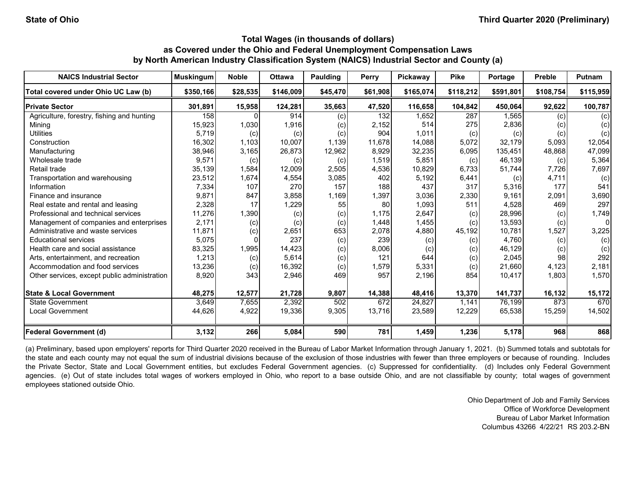| <b>NAICS Industrial Sector</b>               | <b>Muskingum</b> | <b>Noble</b> | <b>Ottawa</b> | Paulding | Perry    | Pickaway  | <b>Pike</b> | Portage   | <b>Preble</b> | <b>Putnam</b>  |
|----------------------------------------------|------------------|--------------|---------------|----------|----------|-----------|-------------|-----------|---------------|----------------|
| Total covered under Ohio UC Law (b)          | \$350.166        | \$28,535     | \$146,009     | \$45,470 | \$61,908 | \$165,074 | \$118,212   | \$591,801 | \$108,754     | \$115,959      |
| <b>Private Sector</b>                        | 301,891          | 15,958       | 124,281       | 35,663   | 47,520   | 116,658   | 104,842     | 450,064   | 92,622        | 100,787        |
| Agriculture, forestry, fishing and hunting   | 158              | $\Omega$     | 914           | (c)      | 132      | 1.652     | 287         | 1,565     | (c)           | (c)            |
| Mining                                       | 15,923           | 1,030        | 1,916         | (c)      | 2,152    | 514       | 275         | 2,836     | (c)           | (c)            |
| <b>Utilities</b>                             | 5,719            | (c)          | (c)           | (c)      | 904      | 1,011     | (c)         | (c)       | (c)           | (c)            |
| Construction                                 | 16,302           | 1,103        | 10,007        | 1,139    | 11,678   | 14,088    | 5,072       | 32,179    | 5,093         | 12,054         |
| Manufacturing                                | 38,946           | 3,165        | 26,873        | 12,962   | 8,929    | 32,235    | 6,095       | 135,451   | 48,868        | 47,099         |
| Wholesale trade                              | 9,571            | (c)          | (c)           | (c)      | 1,519    | 5,851     | (c)         | 46,139    | (c)           | 5,364          |
| Retail trade                                 | 35,139           | 1,584        | 12,009        | 2,505    | 4,536    | 10,829    | 6,733       | 51,744    | 7,726         | 7,697          |
| Transportation and warehousing               | 23,512           | 1,674        | 4,554         | 3,085    | 402      | 5,192     | 6,441       | (c)       | 4,711         | (c)            |
| Information                                  | 7,334            | 107          | 270           | 157      | 188      | 437       | 317         | 5,316     | 177           | 541            |
| Finance and insurance                        | 9,871            | 847          | 3,858         | 1,169    | 1,397    | 3,036     | 2,330       | 9,161     | 2,091         | 3,690          |
| Real estate and rental and leasing           | 2,328            | 17           | 1,229         | 55       | 80       | 1,093     | 511         | 4,528     | 469           | 297            |
| Professional and technical services          | 11,276           | 1,390        | (c)           | (c)      | 1.175    | 2,647     | (c)         | 28,996    | (c)           | 1,749          |
| Management of companies and enterprises      | 2,171            | (c)          | (c)           | (c)      | 1.448    | 1,455     | (c)         | 13,593    | (c)           | $\overline{0}$ |
| Administrative and waste services            | 11,871           | (c)          | 2,651         | 653      | 2,078    | 4,880     | 45,192      | 10,781    | 1,527         | 3,225          |
| <b>Educational services</b>                  | 5,075            |              | 237           | (c)      | 239      | (c)       | (c)         | 4.760     | (c)           | (c)            |
| Health care and social assistance            | 83,325           | 1,995        | 14,423        | (c)      | 8,006    | (c)       | (c)         | 46,129    | (c)           | (c)            |
| Arts, entertainment, and recreation          | 1,213            | (c)          | 5,614         | (c)      | 121      | 644       | (c)         | 2,045     | 98            | 292            |
| Accommodation and food services              | 13,236           | (c)          | 16,392        | (c)      | 1,579    | 5,331     | (c)         | 21,660    | 4,123         | 2,181          |
| Other services, except public administration | 8,920            | 343          | 2,946         | 469      | 957      | 2,196     | 854         | 10,417    | 1,803         | 1,570          |
| <b>State &amp; Local Government</b>          | 48,275           | 12,577       | 21,728        | 9,807    | 14,388   | 48,416    | 13,370      | 141,737   | 16,132        | 15,172         |
| State Government                             | 3,649            | 7,655        | 2,392         | 502      | 672      | 24,827    | 1.141       | 76,199    | 873           | 670            |
| <b>Local Government</b>                      | 44,626           | 4,922        | 19,336        | 9,305    | 13,716   | 23,589    | 12,229      | 65,538    | 15,259        | 14,502         |
| <b>Federal Government (d)</b>                | 3,132            | 266          | 5,084         | 590      | 781      | 1,459     | 1,236       | 5,178     | 968           | 868            |

(a) Preliminary, based upon employers' reports for Third Quarter 2020 received in the Bureau of Labor Market Information through January 1, 2021. (b) Summed totals and subtotals for the state and each county may not equal the sum of industrial divisions because of the exclusion of those industries with fewer than three employers or because of rounding. Includes the Private Sector, State and Local Government entities, but excludes Federal Government agencies. (c) Suppressed for confidentiality. (d) Includes only Federal Government agencies. (e) Out of state includes total wages of workers employed in Ohio, who report to a base outside Ohio, and are not classifiable by county; total wages of government employees stationed outside Ohio.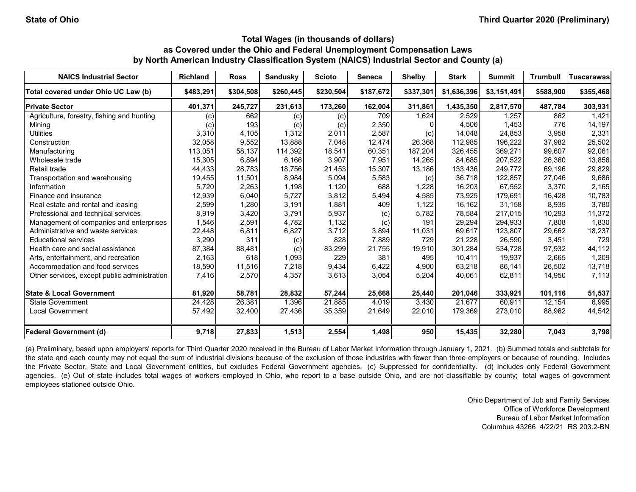| <b>NAICS Industrial Sector</b>               | <b>Richland</b> | <b>Ross</b> | <b>Sandusky</b> | <b>Scioto</b> | Seneca    | <b>Shelby</b> | <b>Stark</b> | <b>Summit</b> | <b>Trumbull</b> | <b>Tuscarawas</b> |
|----------------------------------------------|-----------------|-------------|-----------------|---------------|-----------|---------------|--------------|---------------|-----------------|-------------------|
| Total covered under Ohio UC Law (b)          | \$483.291       | \$304.508   | \$260,445       | \$230,504     | \$187,672 | \$337,301     | \$1,636,396  | \$3,151,491   | \$588,900       | \$355,468         |
| <b>Private Sector</b>                        | 401,371         | 245,727     | 231,613         | 173,260       | 162,004   | 311,861       | 1,435,350    | 2,817,570     | 487,784         | 303,931           |
| Agriculture, forestry, fishing and hunting   | (c)             | 662         | (c)             | (c)           | 709       | 1,624         | 2.529        | 1,257         | 862             | 1,421             |
| Mining                                       | (c)             | 193         | (c)             | (c)           | 2,350     |               | 4,506        | 1,453         | 776             | 14,197            |
| <b>Utilities</b>                             | 3,310           | 4,105       | 1,312           | 2,011         | 2,587     | (c)           | 14.048       | 24.853        | 3,958           | 2,331             |
| Construction                                 | 32,058          | 9,552       | 13,888          | 7,048         | 12,474    | 26,368        | 112,985      | 196,222       | 37,982          | 25,502            |
| Manufacturing                                | 113,051         | 58,137      | 114,392         | 18,541        | 60,351    | 187,204       | 326,455      | 369,271       | 99,607          | 92,061            |
| Wholesale trade                              | 15,305          | 6,894       | 6,166           | 3,907         | 7,951     | 14,265        | 84,685       | 207,522       | 26,360          | 13,856            |
| Retail trade                                 | 44,433          | 28,783      | 18,756          | 21,453        | 15,307    | 13,186        | 133,436      | 249,772       | 69,196          | 29,829            |
| Transportation and warehousing               | 19,455          | 11,501      | 8,984           | 5,094         | 5,583     | (c)           | 36,718       | 122,857       | 27,046          | 9,686             |
| Information                                  | 5,720           | 2,263       | 1,198           | 1,120         | 688       | 1,228         | 16,203       | 67,552        | 3,370           | 2,165             |
| Finance and insurance                        | 12,939          | 6,040       | 5,727           | 3,812         | 5,494     | 4,585         | 73,925       | 179,691       | 16,428          | 10,783            |
| Real estate and rental and leasing           | 2,599           | 1,280       | 3,191           | 1,881         | 409       | 1,122         | 16,162       | 31,158        | 8,935           | 3,780             |
| Professional and technical services          | 8,919           | 3,420       | 3,791           | 5,937         | (c)       | 5,782         | 78,584       | 217,015       | 10,293          | 11,372            |
| Management of companies and enterprises      | 1,546           | 2,591       | 4,782           | 1,132         | (c)       | 191           | 29,294       | 294,933       | 7,808           | 1,830             |
| Administrative and waste services            | 22,448          | 6,811       | 6,827           | 3,712         | 3,894     | 11,031        | 69,617       | 123,807       | 29,662          | 18,237            |
| <b>Educational services</b>                  | 3,290           | 311         | (c)             | 828           | 7,889     | 729           | 21,228       | 26,590        | 3,451           | 729               |
| Health care and social assistance            | 87,384          | 88,481      | (c)             | 83,299        | 21,755    | 19,910        | 301,284      | 534,728       | 97,932          | 44,112            |
| Arts, entertainment, and recreation          | 2,163           | 618         | 1,093           | 229           | 381       | 495           | 10,411       | 19,937        | 2,665           | 1,209             |
| Accommodation and food services              | 18,590          | 11,516      | 7,218           | 9,434         | 6,422     | 4,900         | 63,218       | 86,141        | 26,502          | 13,718            |
| Other services, except public administration | 7,416           | 2,570       | 4,357           | 3,613         | 3,054     | 5,204         | 40,061       | 62,811        | 14,950          | 7,113             |
| <b>State &amp; Local Government</b>          | 81,920          | 58,781      | 28,832          | 57,244        | 25,668    | 25,440        | 201,046      | 333,921       | 101,116         | 51,537            |
| <b>State Government</b>                      | 24,428          | 26,381      | 1,396           | 21,885        | 4,019     | 3,430         | 21.677       | 60,911        | 12,154          | 6,995             |
| <b>Local Government</b>                      | 57,492          | 32,400      | 27,436          | 35,359        | 21,649    | 22,010        | 179,369      | 273,010       | 88,962          | 44,542            |
| <b>Federal Government (d)</b>                | 9,718           | 27,833      | 1,513           | 2,554         | 1,498     | 950           | 15,435       | 32,280        | 7,043           | 3,798             |

(a) Preliminary, based upon employers' reports for Third Quarter 2020 received in the Bureau of Labor Market Information through January 1, 2021. (b) Summed totals and subtotals for the state and each county may not equal the sum of industrial divisions because of the exclusion of those industries with fewer than three employers or because of rounding. Includes the Private Sector, State and Local Government entities, but excludes Federal Government agencies. (c) Suppressed for confidentiality. (d) Includes only Federal Government agencies. (e) Out of state includes total wages of workers employed in Ohio, who report to a base outside Ohio, and are not classifiable by county; total wages of government employees stationed outside Ohio.